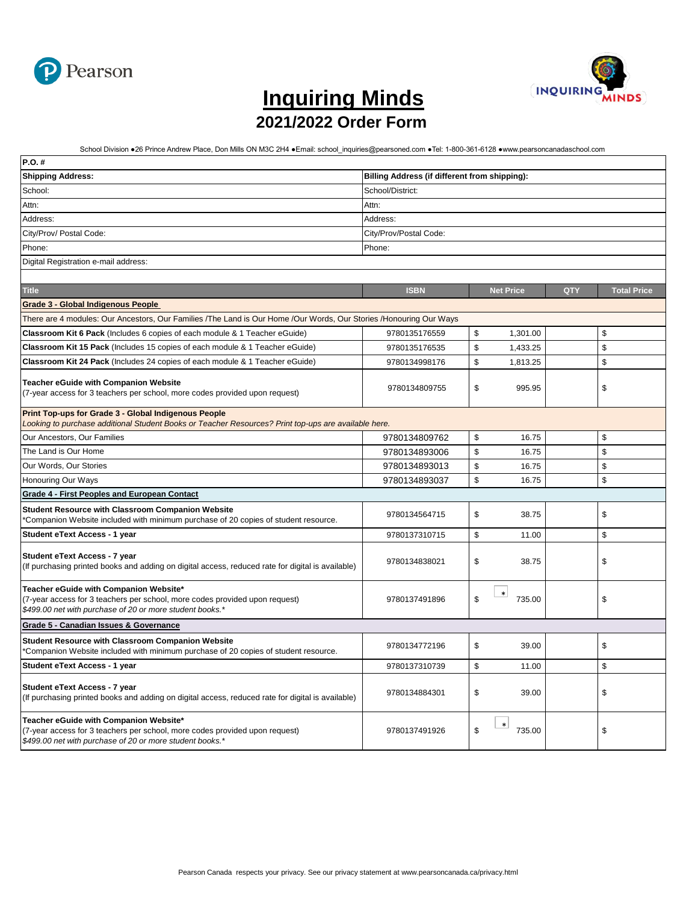



## **[I](https://www.pearsoncanadaschool.com/index.cfm?locator=PS2vQc&PMDbSiteId=2621&PMDbSolutionId=25862&PMDbSubSolutionId=&PMDbCategoryId=25880&PMDbSubCategoryId=26067&PMDbSubjectAreaId=&PMDbProgramId=148061)nquiring Minds 2021/2022 Order Form**

School Division ●26 Prince Andrew Place, Don Mills ON M3C 2H4 ●Email: school\_inquiries@pearsoned.com ●Tel: 1-800-361-6128 ●www.pearsoncanadaschool.com

| P.O. #                                                                                                                                                                            |                                                              |    |                  |  |    |  |  |  |  |  |
|-----------------------------------------------------------------------------------------------------------------------------------------------------------------------------------|--------------------------------------------------------------|----|------------------|--|----|--|--|--|--|--|
| <b>Shipping Address:</b>                                                                                                                                                          | Billing Address (if different from shipping):                |    |                  |  |    |  |  |  |  |  |
| School:                                                                                                                                                                           | School/District:                                             |    |                  |  |    |  |  |  |  |  |
| Attn:                                                                                                                                                                             | Attn:                                                        |    |                  |  |    |  |  |  |  |  |
| Address:                                                                                                                                                                          | Address:                                                     |    |                  |  |    |  |  |  |  |  |
| City/Prov/ Postal Code:                                                                                                                                                           | City/Prov/Postal Code:                                       |    |                  |  |    |  |  |  |  |  |
| Phone:                                                                                                                                                                            | Phone:                                                       |    |                  |  |    |  |  |  |  |  |
| Digital Registration e-mail address:                                                                                                                                              |                                                              |    |                  |  |    |  |  |  |  |  |
|                                                                                                                                                                                   |                                                              |    |                  |  |    |  |  |  |  |  |
| <b>Title</b>                                                                                                                                                                      | <b>ISBN</b><br><b>Net Price</b><br>QTY<br><b>Total Price</b> |    |                  |  |    |  |  |  |  |  |
| <b>Grade 3 - Global Indigenous People</b>                                                                                                                                         |                                                              |    |                  |  |    |  |  |  |  |  |
| There are 4 modules: Our Ancestors, Our Families /The Land is Our Home /Our Words, Our Stories /Honouring Our Ways                                                                |                                                              |    |                  |  |    |  |  |  |  |  |
| Classroom Kit 6 Pack (Includes 6 copies of each module & 1 Teacher eGuide)                                                                                                        | 9780135176559                                                | \$ | 1,301.00         |  | \$ |  |  |  |  |  |
| Classroom Kit 15 Pack (Includes 15 copies of each module & 1 Teacher eGuide)                                                                                                      | 9780135176535                                                | \$ | 1,433.25         |  | \$ |  |  |  |  |  |
| Classroom Kit 24 Pack (Includes 24 copies of each module & 1 Teacher eGuide)                                                                                                      | 9780134998176                                                | \$ | 1,813.25         |  | \$ |  |  |  |  |  |
| <b>Teacher eGuide with Companion Website</b><br>(7-year access for 3 teachers per school, more codes provided upon request)                                                       | 9780134809755                                                | \$ | 995.95           |  | \$ |  |  |  |  |  |
| <b>Print Top-ups for Grade 3 - Global Indigenous People</b><br>Looking to purchase additional Student Books or Teacher Resources? Print top-ups are available here.               |                                                              |    |                  |  |    |  |  |  |  |  |
| Our Ancestors, Our Families                                                                                                                                                       | 9780134809762                                                | \$ | 16.75            |  | \$ |  |  |  |  |  |
| The Land is Our Home                                                                                                                                                              | 9780134893006                                                | \$ | 16.75            |  | \$ |  |  |  |  |  |
| Our Words, Our Stories                                                                                                                                                            | 9780134893013                                                | \$ | 16.75            |  | \$ |  |  |  |  |  |
| Honouring Our Ways                                                                                                                                                                | 9780134893037                                                | \$ | 16.75            |  | \$ |  |  |  |  |  |
| <b>Grade 4 - First Peoples and European Contact</b>                                                                                                                               |                                                              |    |                  |  |    |  |  |  |  |  |
| <b>Student Resource with Classroom Companion Website</b><br>*Companion Website included with minimum purchase of 20 copies of student resource.                                   | 9780134564715                                                | \$ | 38.75            |  | \$ |  |  |  |  |  |
| <b>Student eText Access - 1 year</b>                                                                                                                                              | 9780137310715                                                | \$ | 11.00            |  | \$ |  |  |  |  |  |
| <b>Student eText Access - 7 year</b><br>(If purchasing printed books and adding on digital access, reduced rate for digital is available)                                         | 9780134838021                                                | \$ | 38.75            |  | \$ |  |  |  |  |  |
| Teacher eGuide with Companion Website*<br>(7-year access for 3 teachers per school, more codes provided upon request)<br>\$499.00 net with purchase of 20 or more student books.* | 9780137491896                                                | \$ | $\ast$<br>735.00 |  | \$ |  |  |  |  |  |
| Grade 5 - Canadian Issues & Governance                                                                                                                                            |                                                              |    |                  |  |    |  |  |  |  |  |
| <b>Student Resource with Classroom Companion Website</b><br>Companion Website included with minimum purchase of 20 copies of student resource.                                    | 9780134772196                                                | \$ | 39.00            |  | \$ |  |  |  |  |  |
| <b>Student eText Access - 1 year</b>                                                                                                                                              | 9780137310739                                                | \$ | 11.00            |  | \$ |  |  |  |  |  |
| <b>Student eText Access - 7 year</b><br>(If purchasing printed books and adding on digital access, reduced rate for digital is available)                                         | 9780134884301                                                | \$ | 39.00            |  | \$ |  |  |  |  |  |
| Teacher eGuide with Companion Website*<br>(7-year access for 3 teachers per school, more codes provided upon request)<br>\$499.00 net with purchase of 20 or more student books.* | 9780137491926                                                | \$ | $\ast$<br>735.00 |  | \$ |  |  |  |  |  |